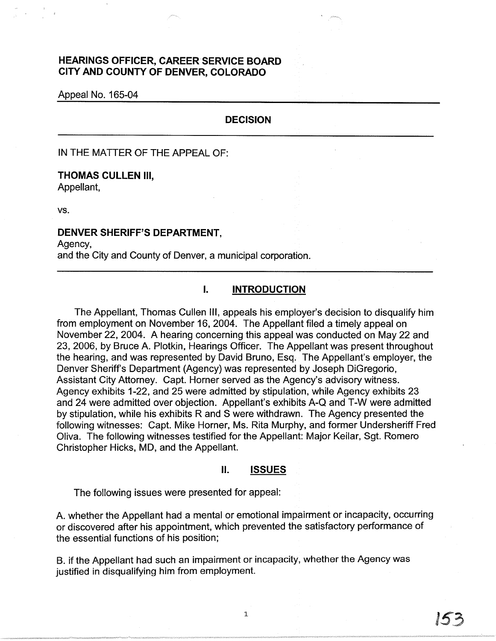# **HEARINGS OFFICER, CAREER SERVICE BOARD CITY AND COUNTY OF DENVER, COLORADO**

## Appeal No. 165-04

# **DECISION**

IN THE MATTER OF THE APPEAL OF:

## **THOMAS CULLEN Ill,**

Appellant,

vs.

# **DENVER SHERIFF'S DEPARTMENT,**

Agency,

and the City and County of Denver, a municipal corporation.

# **I. INTRODUCTION**

The Appellant, Thomas Cullen Ill, appeals his employer's decision to disqualify him from employment on November 16, 2004. The Appellant filed a timely appeal on November 22, 2004. A hearing concerning this appeal was conducted on May 22 and 23, 2006, by Bruce A. Plotkin, Hearings Officer. The Appellant was present throughout the hearing, and was represented by David Bruno, Esq. The Appellant's employer, the Denver Sheriff's Department (Agency) was represented by Joseph DiGregorio, Assistant City Attorney. Capt. Horner served as the Agency's advisory witness. Agency exhibits 1-22, and 25 were admitted by stipulation, while Agency exhibits 23 and 24 were admitted over objection. Appellant's exhibits A-Q and T-W were admitted by stipulation, while his exhibits R and S were withdrawn. The Agency presented the following witnesses: Capt. Mike Horner, Ms. Rita Murphy, and former Undersheriff Fred Oliva. The following witnesses testified for the Appellant: Major Keilar, Sgt. Romero Christopher Hicks, MD, and the Appellant.

# II. **ISSUES**

The following issues were presented for appeal:

A. whether the Appellant had a mental or emotional impairment or incapacity, occurring or discovered after his appointment, which prevented the satisfactory performance of the essential functions of his position;

B. if the Appellant had such an impairment or incapacity, whether the Agency was justified in disqualifying him from employment.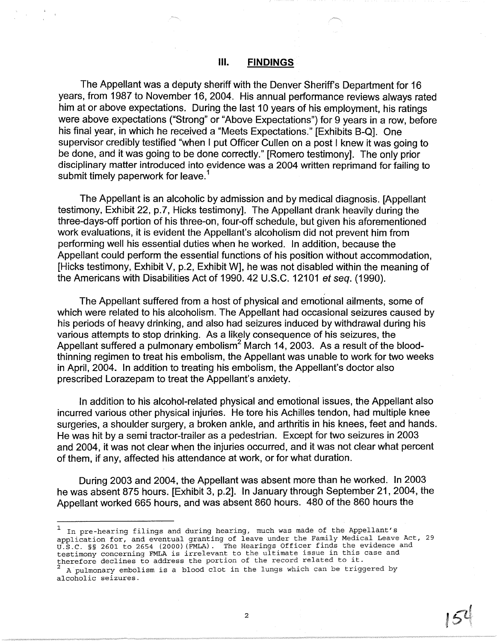# Ill. **FINDINGS**

The Appellant was a deputy sheriff with the Denver Sheriff's Department for 16 years, from 1987 to November 16, 2004. His annual performance reviews always rated him at or above expectations. During the last 10 years of his employment, his ratings were above expectations ("Strong" or "Above Expectations") for 9 years in a row, before his finai year, in which he received a "Meets Expectations." [Exhibits B-Q]. One supervisor credibly testified "when I put Officer Cullen on a post I knew it was going to be done, and it was going to be done correctly." [Romero testimony]. The only prior disciplinary matter introduced into evidence was a 2004 written reprimand for failing to submit timely paperwork for leave.<sup>1</sup>

The Appellant is an alcoholic by admission and by medical diagnosis. [Appellant testimony, Exhibit 22, p.7, Hicks testimony]. The Appellant drank heavily during the three-days-off portion of his three-on, four-off schedule, but given his aforementioned work evaluations, it is evident the Appellant's alcoholism did not prevent him from performing well his essential duties when he worked. In addition, because the Appellant could perform the essential functions of his position without accommodation, [Hicks testimony, Exhibit V, p.2, Exhibit W], he was not disabled within the meaning of the Americans with Disabilities Act of 1990. 42 U.S.C. 12101 et seq. (1990).

The Appellant suffered from a host of physical and emotional ailments, some of which were related to his alcoholism. The Appellant had occasional seizures caused by his periods of heavy drinking, and also had seizures induced by withdrawal during his various attempts to stop drinking. As a likely consequence of his seizures, the Appellant suffered a pulmonary embolism<sup>2</sup> March 14, 2003. As a result of the bloodthinning regimen to treat his embolism, the Appellant was unable to work for two weeks in April, 2004. In addition to treating his embolism, the Appellant's doctor also prescribed Lorazepam to treat the Appellant's anxiety.

In addition to his alcohol-related physical and emotional issues, the Appellant also incurred various other physical injuries. He tore his Achilles tendon, had multiple knee surgeries, a shoulder surgery, a broken ankle, and arthritis in his knees, feet and hands. He was hit by a semi tractor-trailer as a pedestrian. Except for two seizures in 2003 and 2004, it was not clear when the injuries occurred, and it was not clear what percent of them, if any, affected his attendance at work, or for what duration.

During 2003 and 2004, the Appellant was absent more than he worked. In 2003 he was absent 875 hours. [Exhibit 3, p.2]. In January through September 21, 2004, the Appellant worked 665 hours, and was absent 860 hours. 480 of the 860 hours the

In pre-hearing filings and during hearing, much was made of the Appellant's application for, and eventual granting of leave under the Family Medical Leave Act, 29 U.S.C. §§ 2601 to 2654 (2000) (FMLA). The Hearings Officer finds the evidence and testimony concerning FMLA is irrelevant to the ultimate issue in this case and therefore declines to address the portion of the record related to it.

<sup>2</sup> A pulmonary embolism is a blood clot in the lungs which can be triggered by alcoholic seizures.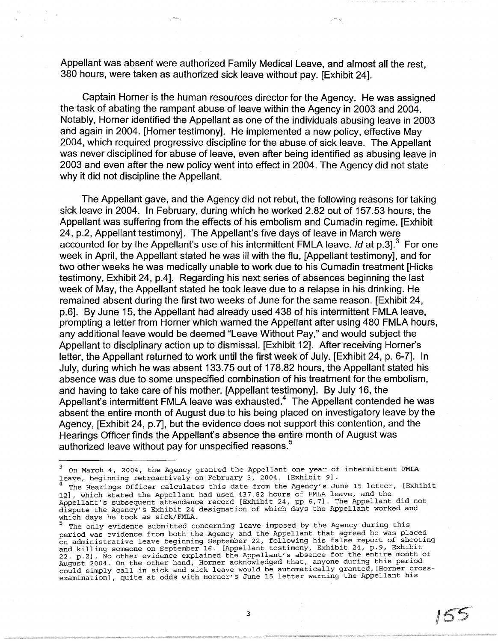Appellant was absent were authorized Family Medical Leave, and almost all the rest, 380 hours, were taken as authorized sick leave without pay. [Exhibit 24].

Captain Horner is the human resources director for the Agency. He was assigned the task of abating the rampant abuse of leave within the Agency in 2003 and 2004. Notably, Horner identified the Appellant as one of the individuals abusing leave in 2003 and again in 2004. [Horner testimony]. He implemented a new policy, effective May 2004, which required progressive discipline for the abuse of sick leave. The Appellant was never disciplined for abuse of leave, even after being identified as abusing leave in 2003 and even after the new policy went into effect in 2004. The Agency did not state why it did not discipline the Appellant.

The Appellant gave, and the Agency did not rebut, the following reasons for taking sick leave in 2004. In February, during which he worked 2.82 out of 157.53 hours, the Appellant was suffering from the effects of his embolism and Cumadin regime. [Exhibit 24, p.2, Appellant testimony]. The Appellant's five days of leave in March were accounted for by the Appellant's use of his intermittent FMLA leave. Id at  $p.31$ <sup>3</sup> For one week in April, the Appellant stated he was ill with the flu, [Appellant testimony], and for two other weeks he was medically unable to work due to his Cumadin treatment [Hicks testimony, Exhibit 24, p.4]. Regarding his next series of absences beginning the last week of May, the Appellant stated he took leave due to a relapse in his drinking. He remained absent during the first two weeks of June for the same reason. [Exhibit 24, p.6]. By June 15, the Appellant had already used 438 of his intermittent FMLA leave, prompting a letter from Horner which warned the Appellant after using 480 FMLA hours, any additional leave would be deemed "Leave Without Pay," and would subject the Appellant to disciplinary action up to dismissal. [Exhibit 12]. After receiving Homer's letter, the Appellant returned to work until the first week of July. [Exhibit 24, p. 6-7]. In July, during which he was absent 133.75 out of 178.82 hours, the Appellant stated his absence was due to some unspecified combination of his treatment for the embolism, and having to take care of his mother. [Appellant testimony]. By July 16, the Appellant's intermittent FMLA leave was exhausted.4 The Appellant contended he was absent the entire month of August due to his being placed on investigatory leave by the Agency, [Exhibit 24, p.7], but the evidence does not support this contention, and the Hearings Officer finds the Appellant's absence the entire month of August was authorized leave without pay for unspecified reasons.<sup>5</sup>

3

 $^3$  On March 4, 2004, the Agency granted the Appellant one year of intermittent FMLA leave, beginning retroactively on February 3, 2004. [Exhibit 9].<br><sup>4</sup> The Hearings Officer calculates this date from the Agency's June 15 letter, [Exhibit

<sup>&</sup>lt;sup>4</sup> The Hearings Officer calculates this date from the Agency's June 15 letter, [Exhibit 12], which stated the Appellant had used 437.82 hours of FMLA leave, and the Appellant's subsequent attendance record [Exhibit 24, pp 6,7]. The Appellant did not dispute the Agency's Exhibit 24 designation of which days the Appellant worked and which days he took as sick/FMLA.

The only evidence submitted concerning leave imposed by the Agency during this period was evidence from both the Agency and the Appellant that agreed he was placed on administrative leave beginning September 22, following his false report of shooting and killing someone on September 16. [Appellant testimony, Exhibit 24, p.9, Exhibit and Killing someone on September 10. Importance esseringly infinite to the entire month of August 2004. On the other hand, Horner acknowledged that, anyone during this period could simply call in sick and sick leave would be automatical~y granted, [Horner ~ross- examination], quite at odds with Horner's June 15 letter warning the Appellant his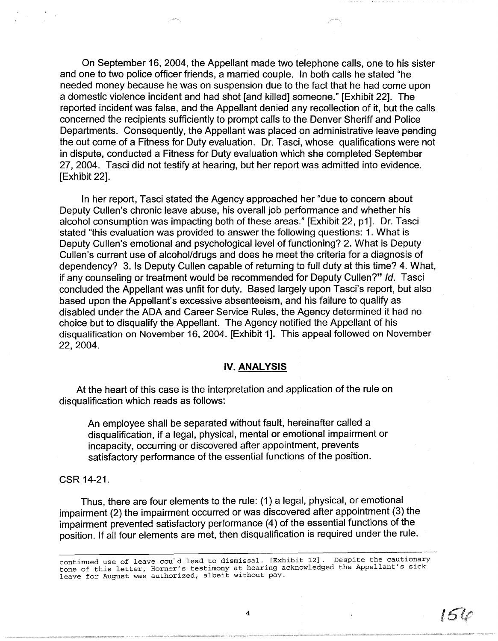On September 16, 2004, the Appellant made two telephone calls, one to his sister and one to two police officer friends, a married couple. In both calls he stated "he needed money because he was on suspension due to the fact that he had come upon a domestic violence incident and had shot [and killed] someone." [Exhibit 22]. The reported incident was false, and the Appellant denied any recollection of it, but the calls concerned the recipients sufficiently to prompt calls to the Denver Sheriff and Police Departments. Consequently, the Appellant was placed on administrative leave pending the out come of a Fitness for Duty evaluation. Dr. Tasci, whose qualifications were not in dispute, conducted a Fitness for Duty evaluation which she completed September 27, 2004. Tasci did not testify at hearing, but her report was admitted into evidence. [Exhibit 22].

In her report, Tasci stated the Agency approached her "due to concern about Deputy Cullen's chronic leave abuse, his overall job performance and whether his alcohol consumption was impacting both of these areas." [Exhibit 22, p1]. Dr. Tasci stated "this evaluation was provided to answer the following questions: 1. What is Deputy Cullen's emotional and psychological level of functioning? 2. What is Deputy Cullen's current use of alcohol/drugs and does he meet the criteria for a diagnosis of dependency? 3. Is Deputy Cullen capable of returning to full duty at this time? 4. What, if any counseling or treatment would be recommended for Deputy Cullen?" Id. Tasci concluded the Appellant was unfit for duty. Based largely upon Tasci's report, but also based upon the Appellant's excessive absenteeism, and his failure to qualify as disabled under the ADA and Career Service Rules, the Agency determined it had no choice but to disqualify the Appellant. The Agency notified the Appellant of his disqualification on November 16, 2004. [Exhibit 1]. This appeal followed on November 22, 2004.

## **IV. ANALYSIS**

At the heart of this case is the interpretation and application of the rule on disqualification which reads as follows:

An employee shall be separated without fault, hereinafter called a disqualification, if a legal, physical, mental or emotional impairment or incapacity, occurring or discovered after appointment, prevents satisfactory performance of the essential functions of the position.

## CSR 14-21.

Thus, there are four elements to the rule: (1) a legal, physical, or emotional impairment (2) the impairment occurred or was discovered after appointment (3) the impairment prevented satisfactory performance (4) of the essential functions of the position. If all four elements are met, then disqualification is required under the rule.

continued use of leave could lead to dismissal. [Exhibit 12]. Despite the cautionary tone of this letter, Horner's testimony at hearing acknowledged the Appellant's sick leave for August was authorized, albeit without pay.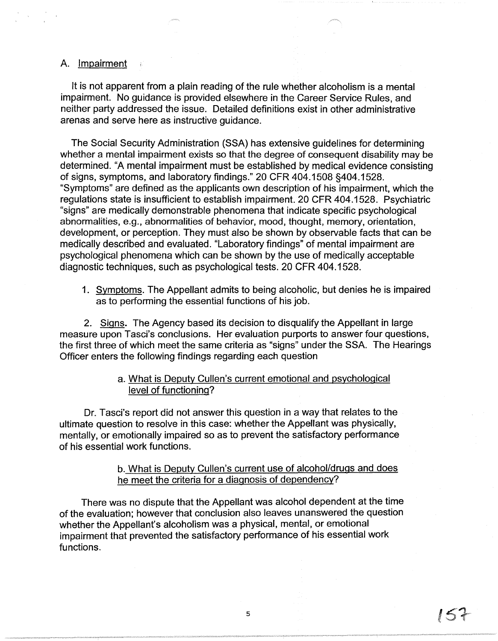# A. Impairment

It is not apparent from a plain reading of the rule whether alcoholism is a mental impairment. No guidance is provided elsewhere in the Career Service Rules, and neither party addressed the issue. Detailed definitions exist in other administrative arenas and serve here as instructive guidance.

The Social Security Administration (SSA) has extensive guidelines for determining whether a mental impairment exists so that the degree of consequent disability may be determined. "A mental impairment must be established by medical evidence consisting of signs, symptoms, and laboratory findings." 20 CFR 404.1508 §404.1528. "Symptoms" are defined as the applicants own description of his impairment, which the regulations state is insufficient to establish impairment. 20 CFR 404.1528. Psychiatric "signs" are medically demonstrable phenomena that indicate specific psychological abnormalities, e.g., abnormalities of behavior, mood, thought, memory, orientation, development, or perception. They must also be shown by observable facts that can be medically described and evaluated. "Laboratory findings" of mental impairment are psychological phenomena which can be shown by the use of medically acceptable diagnostic techniques, such as psychological tests. 20 CFR 404.1528.

1. Symptoms. The Appellant admits to being alcoholic, but denies he is impaired as to performing the essential functions of his job.

2. Signs. The Agency based its decision to disqualify the Appellant in large measure upon Tasci's conclusions. Her evaluation purports to answer four questions, the first three of which meet the same criteria as "signs" under the SSA. The Hearings Officer enters the following findings regarding each question

# a. What is Deputy Cullen's current emotional and psychological level of functioning?

Dr. Tasci's report did not answer this question in a way that relates to the ultimate question to resolve in this case: whether the Appellant was physically, mentally, or emotionally impaired so as to prevent the satisfactory performance of his essential work functions.

> b. What is Deputy Cullen's current use of alcohol/drugs and does he meet the criteria for a diagnosis of dependency?

There was no dispute that the Appellant was alcohol dependent at the time of the evaluation; however that conclusion also leaves unanswered the question whether the Appellant's alcoholism was a physical, mental, or emotional impairment that prevented the satisfactory performance of his essential work functions.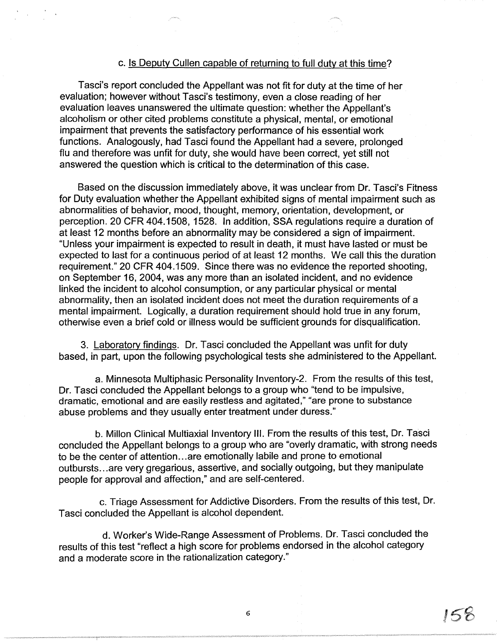## c. Is Deputy Cullen capable of returning to full duty at this time?

Tasci's report concluded the Appellant was not fit for duty at the time of her evaluation; however without Tasci's testimony, even a close reading of her evaluation leaves unanswered the ultimate question: whether the Appellant's alcoholism or other cited problems constitute a physical, mental, or emotional impairment that prevents the satisfactory performance of his essential work functions. Analogously, had Tasci found the Appellant had a severe, prolonged flu and therefore was unfit for duty, she would have been correct, yet still not answered the question which is critical to the determination of this case.

Based on the discussion immediately above, it was unclear from Dr. Tasci's Fitness for Duty evaluation whether the Appellant exhibited signs of mental impairment such as abnormalities of behavior, mood, thought, memory, orientation, development, or perception. 20 CFR 404.1508, 1528. In addition, SSA regulations require a duration of at least 12 months before an abnormality may be considered a sign of impairment. "Unless your impairment is expected to result in death, it must have lasted or must be expected to last for a continuous period of at least 12 months. We call this the duration requirement." 20 CFR 404.1509. Since there was no evidence the reported shooting, on September 16, 2004, was any more than an isolated incident, and no evidence linked the incident to alcohol consumption, or any particular physical or mental abnormality, then an isolated incident does not meet the duration requirements of a mental impairment. Logically, a duration requirement should hold true in any forum, otherwise even a brief cold or illness would be sufficient grounds for disqualification.

3. Laboratory findings. Dr. Tasci concluded the Appellant was unfit for duty based, in part, upon the following psychological tests she administered to the Appellant.

a. Minnesota Multiphasic Personality lnventory-2. From the results of this test, Dr. Tasci concluded the Appellant belongs to a group who "tend to be impulsive, dramatic, emotional and are easily restless and agitated," "are prone to substance abuse problems and they usually enter treatment under duress."

b. Millon Clinical Multiaxial Inventory Ill. From the results of this test, Dr. Tasci concluded the Appellant belongs to a group who are "overly dramatic, with strong needs to be the center of attention ... are emotionally labile and prone to emotional outbursts ... are very gregarious, assertive, and socially outgoing, but they manipulate people for approval and affection," and are self-centered.

c. Triage Assessment for Addictive Disorders. From the results of this test, Dr. Tasci concluded the Appellant is alcohol dependent.

d. Worker's Wide-Range Assessment of Problems. Dr. Tasci concluded the results of this test "reflect a high score for problems endorsed in the alcohol category and a moderate score in the rationalization category."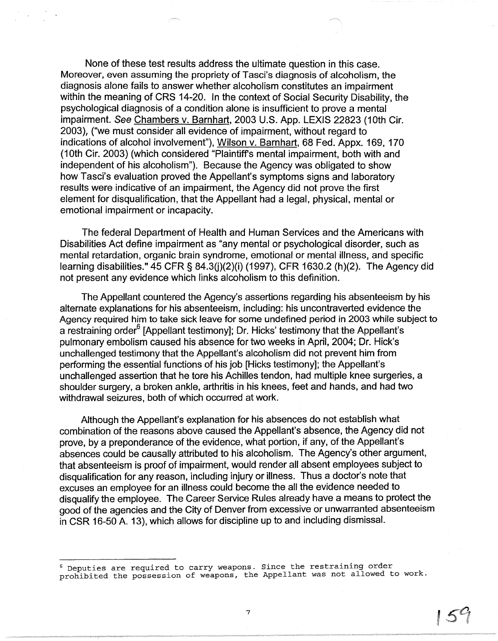None of these test results address the ultimate question in this case. Moreover, even assuming the propriety of Tasci's diagnosis of alcoholism, the diagnosis alone fails to answer whether alcoholism constitutes an impairment within the meaning of CRS 14-20. In the context of Social Security Disability, the psychological diagnosis of a condition alone is insufficient to prove a mental impairment. See Chambers v. Barnhart, 2003 U.S. App. LEXIS 22823 (10th Cir. 2003), ("we must consider all evidence of impairment, without regard to indications of alcohol involvement"), Wilson v. Barnhart, 68 Fed. Appx. 169, 170 (10th Cir. 2003) (which considered "Plaintiff's mental impairment, both with and independent of his alcoholism"). Because the Agency was obligated to show how Tasci's evaluation proved the Appellant's symptoms signs and laboratory results were indicative of an impairment, the Agency did not prove the first element for disqualification, that the Appellant had a legal, physical, mental or emotional impairment or incapacity.

The federal Department of Health and Human Services and the Americans with Disabilities Act define impairment as "any mental or psychological disorder, such as mental retardation, organic brain syndrome, emotional or mental illness, and specific learning disabilities." 45 CFR § 84.3(j)(2)(i) (1997), CFR 1630.2 (h)(2). The Agency did not present any evidence which links alcoholism to this definition.

The Appellant countered the Agency's assertions regarding his absenteeism by his alternate explanations for his absenteeism, including: his uncontraverted evidence the Agency required him to take sick leave for some undefined period in 2003 while subject to a restraining order<sup>6</sup> [Appellant testimony]; Dr. Hicks' testimony that the Appellant's pulmonary embolism caused his absence for two weeks in April, 2004; Dr. Hick's unchallenged testimony that the Appellant's alcoholism did not prevent him from performing the essential functions of his job [Hicks testimony]; the Appellant's unchallenged assertion that he tore his Achilles tendon, had multiple knee surgeries, a shoulder surgery, a broken ankle, arthritis in his knees, feet and hands, and had two withdrawal seizures, both of which occurred at work.

Although the Appellant's explanation for his absences do not establish what combination of the reasons above caused the Appellant's absence, the Agency did not prove, by a preponderance of the evidence, what portion, if any, of the Appellant's absences could be causally attributed to his alcoholism. The Agency's other argument, that absenteeism is proof of impairment, would render all absent employees subject to disqualification for any reason, including injury or illness. Thus a doctor's note that excuses an employee for an illness could become the all the evidence needed to disqualify the employee. The Career Service Rules already have a means to protect the good of the agencies and the City of Denver from excessive or unwarranted absenteeism in CSR 16-50 A. 13), which allows for discipline up to and including dismissal.

7

 $^6$  Deputies are required to carry weapons. Since the restraining order prohibited the possession of weapons, the Appellant was not allowed to work.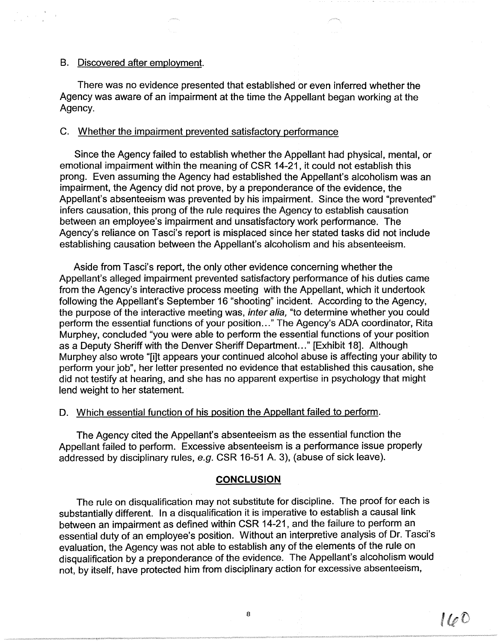## B. Discovered after employment.

There was no evidence presented that established or even inferred whether the Agency was aware of an impairment at the time the Appellant began working at the Agency.

### C. Whether the impairment prevented satisfactory performance

Since the Agency failed to establish whether the Appellant had physical, mental, or emotional impairment within the meaning of CSR 14-21, it could not establish this prong. Even assuming the Agency had established the Appellant's alcoholism was an impairment, the Agency did not prove, by a preponderance of the evidence, the Appellant's absenteeism was prevented by his impairment. Since the word "prevented" infers causation, this prong of the rule requires the Agency to establish causation between an employee's impairment and unsatisfactory work performance. The Agency's reliance on Tasci's report is misplaced since her stated tasks did not include establishing causation between the Appellant's alcoholism and his absenteeism.

Aside from Tasci's report, the only other evidence concerning whether the Appellant's alleged impairment prevented satisfactory performance of his duties came from the Agency's interactive process meeting with the Appellant, which it undertook following the Appellant's September 16 "shooting" incident. According to the Agency, the purpose of the interactive meeting was, inter alia, "to determine whether you could perform the essential functions of your position ... " The Agency's ADA coordinator, Rita Murphey, concluded "you were able to perform the essential functions of your position as a Deputy Sheriff with the Denver Sheriff Department. .. " [Exhibit 18]. Although Murphey also wrote "[i]t appears your continued alcohol abuse is affecting your ability to perform your job", her letter presented no evidence that established this causation, she did not testify at hearing, and she has no apparent expertise in psychology that might lend weight to her statement.

### D. Which essential function of his position the Appellant failed to perform.

The Agency cited the Appellant's absenteeism as the essential function the Appellant failed to perform. Excessive absenteeism is a performance issue properly addressed by disciplinary rules, e.g. CSR 16-51 A. 3), (abuse of sick leave).

### **CONCLUSION**

The rule on disqualification may not substitute for discipline. The proof for each is substantially different. In a disqualification it is imperative to establish a causal link between an impairment as defined within CSR 14-21, and the failure to perform an essential duty of an employee's position. Without an interpretive analysis of Dr. Tasci's evaluation, the Agency was not able to establish any of the elements of the rule on disqualification by a preponderance of the evidence. The Appellant's alcoholism would not, by itself, have protected him from disciplinary action for excessive absenteeism,

 $\frac{1}{2}$